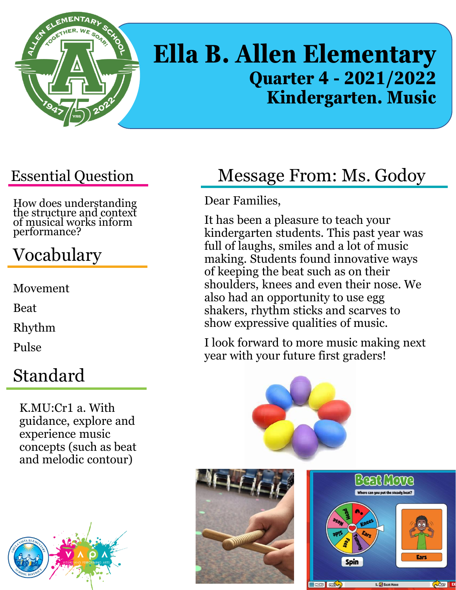

# **Ella B. Allen Elementary Quarter 4 - 2021/2022 Kindergarten. Music**

#### Essential Question

How does understanding the structure and context of musical works inform performance?

# Vocabulary

Movement

Beat

Rhythm

Pulse

#### Standard

K.MU:Cr1 a. With guidance, explore and experience music concepts (such as beat and melodic contour)



# Message From: Ms. Godoy

Dear Families,

It has been a pleasure to teach your kindergarten students. This past year was full of laughs, smiles and a lot of music making. Students found innovative ways of keeping the beat such as on their shoulders, knees and even their nose. We also had an opportunity to use egg shakers, rhythm sticks and scarves to show expressive qualities of music.

I look forward to more music making next year with your future first graders!

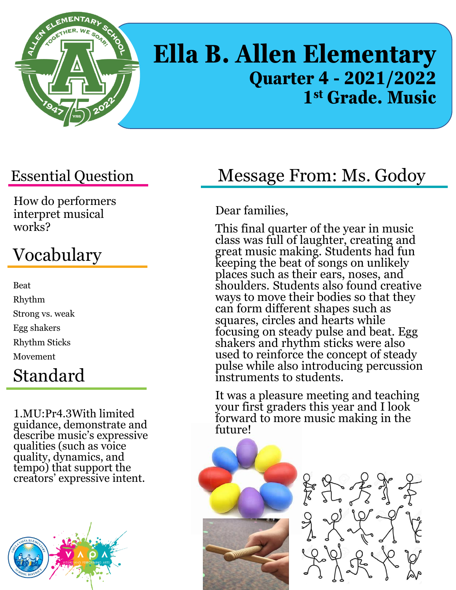

# **Ella B. Allen Elementary Quarter 4 - 2021/2022 1 st Grade. Music**

#### Essential Question

How do performers interpret musical works?

# Vocabulary

Beat Rhythm Strong vs. weak Egg shakers Rhythm Sticks Movement Standard

#### 1.MU:Pr4.3With limited guidance, demonstrate and describe music's expressive qualities (such as voice quality, dynamics, and tempo) that support the creators' expressive intent.



#### Message From: Ms. Godoy

Dear families,

This final quarter of the year in music class was full of laughter, creating and great music making. Students had fun keeping the beat of songs on unlikely places such as their ears, noses, and shoulders. Students also found creative ways to move their bodies so that they can form different shapes such as squares, circles and hearts while focusing on steady pulse and beat. Egg shakers and rhythm sticks were also used to reinforce the concept of steady pulse while also introducing percussion instruments to students.

It was a pleasure meeting and teaching your first graders this year and I look forward to more music making in the future!



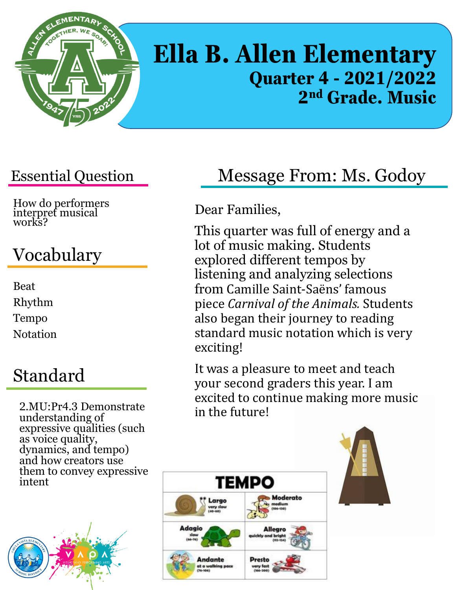

# **Ella B. Allen Elementary Quarter 4 - 2021/2022 2 nd Grade. Music**

#### Essential Question

How do performers interpret musical works?

# Vocabulary

Beat Rhythm Tempo **Notation** 

### Standard

2.MU:Pr4.3 Demonstrate understanding of expressive qualities (such as voice quality, dynamics, and tempo) and how creators use them to convey expressive intent



# Message From: Ms. Godoy

#### Dear Families,

This quarter was full of energy and a lot of music making. Students explored different tempos by listening and analyzing selections from Camille Saint-Saëns' famous piece *Carnival of the Animals.* Students also began their journey to reading standard music notation which is very exciting!

It was a pleasure to meet and teach your second graders this year. I am excited to continue making more music in the future!



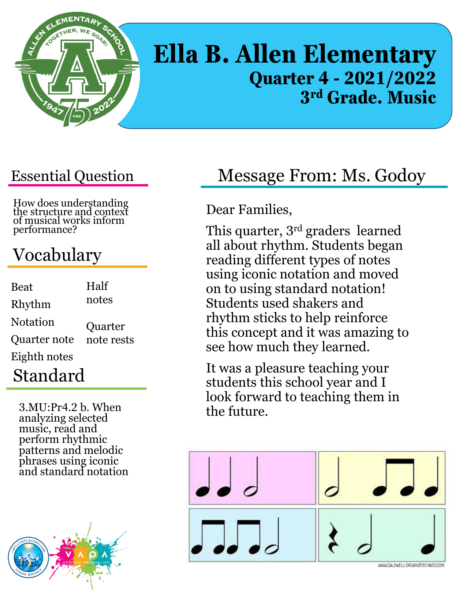

# **Ella B. Allen Elementary Quarter 4 - 2021/2022 3 rd Grade. Music**

#### Essential Question

How does understanding the structure and context of musical works inform performance?

# Vocabulary

| <b>Beat</b>         | Half       |
|---------------------|------------|
| Rhythm              | notes      |
| <b>Notation</b>     | Quarter    |
| <b>Quarter note</b> | note rests |
| Eighth notes        |            |
| Standard            |            |

3.MU:Pr4.2 b. When analyzing selected music, read and perform rhythmic patterns and melodic phrases using iconic and standard notation



# Message From: Ms. Godoy

Dear Families,

This quarter, 3rd graders learned all about rhythm. Students began reading different types of notes using iconic notation and moved on to using standard notation! Students used shakers and rhythm sticks to help reinforce this concept and it was amazing to see how much they learned.

It was a pleasure teaching your students this school year and I look forward to teaching them in the future.

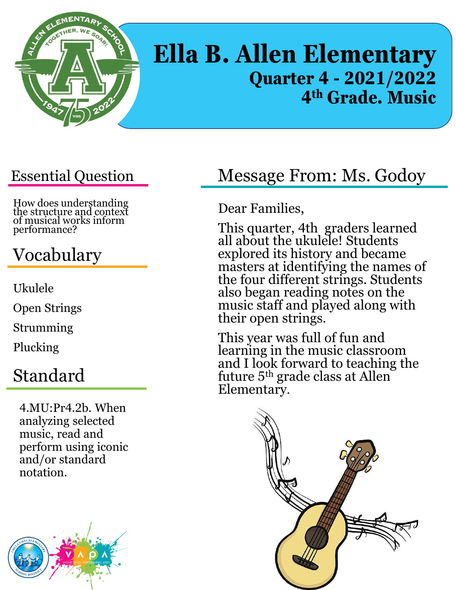

# **Ella B. Allen Elementary Quarter 4 - 2021/2022 4 th Grade. Music**

#### Essential Question

How does understanding the structure and context of musical works inform performance?

# Vocabulary

Ukulele

Open Strings

Strumming

Plucking

#### Standard

4.MU:Pr4.2b. When analyzing selected music, read and perform using iconic and/or standard notation.



#### Message From: Ms. Godoy

Dear Families,

This quarter, 4th graders learned all about the ukulele! Students explored its history and became masters at identifying the names of the four different strings. Students also began reading notes on the music staff and played along with their open strings.

This year was full of fun and learning in the music classroom and I look forward to teaching the future 5th grade class at Allen Elementary.

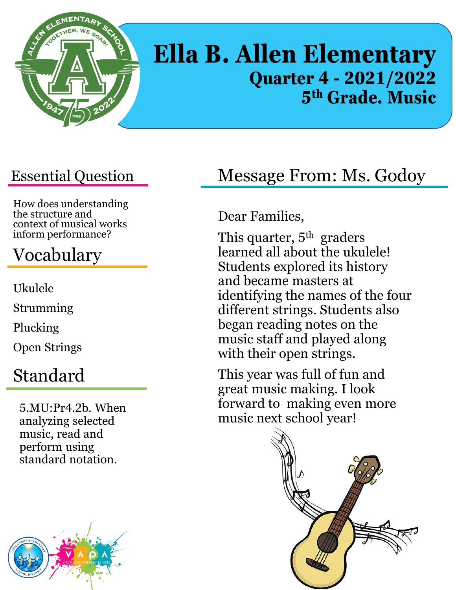

# **Ella B. Allen Elementary Quarter 4 - 2021/2022 5 th Grade. Music**

#### Essential Question

How does understanding the structure and context of musical works inform performance?

### Vocabulary

Ukulele Strumming Plucking Open Strings

#### Standard

5.MU:Pr4.2b. When analyzing selected music, read and perform using standard notation.



#### Message From: Ms. Godoy

#### Dear Families,

This quarter,  $5<sup>th</sup>$  graders learned all about the ukulele! Students explored its history and became masters at identifying the names of the four different strings. Students also began reading notes on the music staff and played along with their open strings.

This year was full of fun and great music making. I look forward to making even more music next school year!